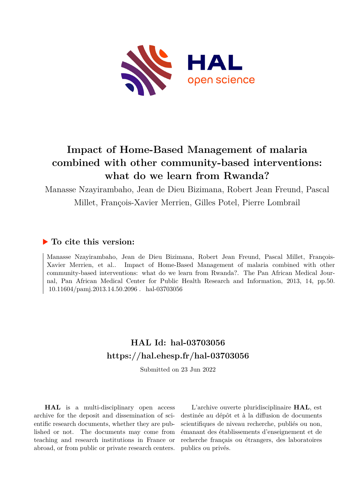

# **Impact of Home-Based Management of malaria combined with other community-based interventions: what do we learn from Rwanda?**

Manasse Nzayirambaho, Jean de Dieu Bizimana, Robert Jean Freund, Pascal Millet, François-Xavier Merrien, Gilles Potel, Pierre Lombrail

# **To cite this version:**

Manasse Nzayirambaho, Jean de Dieu Bizimana, Robert Jean Freund, Pascal Millet, François-Xavier Merrien, et al.. Impact of Home-Based Management of malaria combined with other community-based interventions: what do we learn from Rwanda?. The Pan African Medical Journal, Pan African Medical Center for Public Health Research and Information, 2013, 14, pp.50.  $10.11604/pami.2013.14.50.2096$ . hal-03703056

# **HAL Id: hal-03703056 <https://hal.ehesp.fr/hal-03703056>**

Submitted on 23 Jun 2022

**HAL** is a multi-disciplinary open access archive for the deposit and dissemination of scientific research documents, whether they are published or not. The documents may come from teaching and research institutions in France or abroad, or from public or private research centers.

L'archive ouverte pluridisciplinaire **HAL**, est destinée au dépôt et à la diffusion de documents scientifiques de niveau recherche, publiés ou non, émanant des établissements d'enseignement et de recherche français ou étrangers, des laboratoires publics ou privés.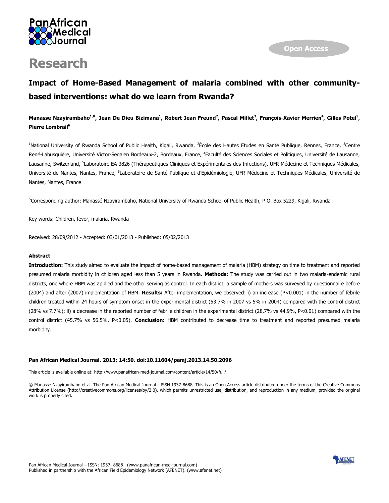

# **Research**

# **Impact of Home-Based Management of malaria combined with other communitybased interventions: what do we learn from Rwanda?**

# **Manasse Nzayirambaho1,&, Jean De Dieu Bizimana<sup>1</sup> , Robert Jean Freund<sup>2</sup> , Pascal Millet<sup>3</sup> , François-Xavier Merrien<sup>4</sup> , Gilles Potel 5 , Pierre Lombrail<sup>6</sup>**

<sup>1</sup>National University of Rwanda School of Public Health, Kigali, Rwanda, <sup>2</sup>École des Hautes Etudes en Santé Publique, Rennes, France, <sup>3</sup>Centre René-Labusquière, Université Victor-Segalen Bordeaux-2, Bordeaux, France, <sup>4</sup>Faculté des Sciences Sociales et Politiques, Université de Lausanne, Lausanne, Switzerland, <sup>5</sup>Laboratoire EA 3826 (Thérapeutiques Cliniques et Expérimentales des Infections), UFR Médecine et Techniques Médicales, Université de Nantes, Nantes, France, <sup>6</sup>Laboratoire de Santé Publique et d'Epidémiologie, UFR Médecine et Techniques Médicales, Université de Nantes, Nantes, France

&Corresponding author: Manassé Nzayirambaho, National University of Rwanda School of Public Health, P.O. Box 5229, Kigali, Rwanda

Key words: Children, fever, malaria, Rwanda

Received: 28/09/2012 - Accepted: 03/01/2013 - Published: 05/02/2013

### **Abstract**

**Introduction:** This study aimed to evaluate the impact of home-based management of malaria (HBM) strategy on time to treatment and reported presumed malaria morbidity in children aged less than 5 years in Rwanda. **Methods:** The study was carried out in two malaria-endemic rural districts, one where HBM was applied and the other serving as control. In each district, a sample of mothers was surveyed by questionnaire before (2004) and after (2007) implementation of HBM. **Results:** After implementation, we observed: i) an increase (P<0.001) in the number of febrile children treated within 24 hours of symptom onset in the experimental district (53.7% in 2007 vs 5% in 2004) compared with the control district (28% vs 7.7%); ii) a decrease in the reported number of febrile children in the experimental district (28.7% vs 44.9%, P<0.01) compared with the control district (45.7% vs 56.5%, P<0.05). **Conclusion:** HBM contributed to decrease time to treatment and reported presumed malaria morbidity.

#### **Pan African Medical Journal. 2013; 14:50. doi:10.11604/pamj.2013.14.50.2096**

This article is available online at: http://www.panafrican-med-journal.com/content/article/14/50/full/

© Manasse Nzayirambaho et al. The Pan African Medical Journal - ISSN 1937-8688. This is an Open Access article distributed under the terms of the Creative Commons Attribution License (http://creativecommons.org/licenses/by/2.0), which permits unrestricted use, distribution, and reproduction in any medium, provided the original work is properly cited.

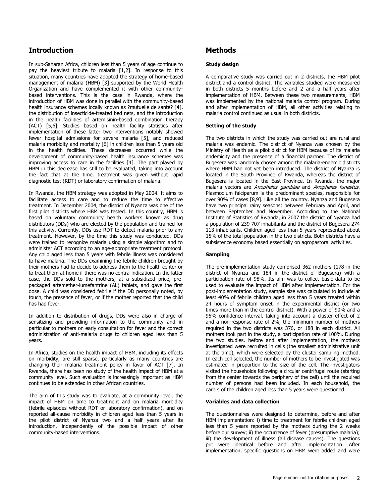# **Introduction**

In sub-Saharan Africa, children less than 5 years of age continue to pay the heaviest tribute to malaria [\[1](#page-4-0)[,2\]](#page-4-1). In response to this situation, many countries have adopted the strategy of home-based management of malaria (HBM) [\[3\]](#page-4-2) supported by the World Health Organization and have complemented it with other communitybased interventions. This is the case in Rwanda, where the introduction of HBM was done in parallel with the community-based health insurance schemes locally known as ?mutuelle de santé? [\[4\]](#page-4-3), the distribution of insecticide-treated bed nets, and the introduction in the health facilities of artemisinin-based combination therapy (ACT) [\[5](#page-4-4)[,6\]](#page-4-5). Studies based on health facility statistics after implementation of these latter two interventions notably showed fewer hospital admissions for severe malaria [\[5\]](#page-4-4), and reduced malaria morbidity and mortality [\[6\]](#page-4-5) in children less than 5 years old in the health facilities. These decreases occurred while the development of community-based health insurance schemes was improving access to care in the facilities [\[4\]](#page-4-3). The part played by HBM in this decrease has still to be evaluated, taking into account the fact that at the time, treatment was given without rapid diagnostic test (RDT) or laboratory confirmation of malaria.

In Rwanda, the HBM strategy was adopted in May 2004. It aims to facilitate access to care and to reduce the time to effective treatment. In December 2004, the district of Nyanza was one of the first pilot districts where HBM was tested. In this country, HBM is based on voluntary community health workers known as drug distributors (DDs) who are elected by the population and trained for this activity. Currently, DDs use RDT to detect malaria prior to any treatment. However, by the time this study was conducted, DDs were trained to recognize malaria using a simple algorithm and to administer ACT according to an age-appropriate treatment protocol. Any child aged less than 5 years with febrile illness was considered to have malaria. The DDs examining the febrile children brought by their mothers had to decide to address them to the health center or to treat them at home if there was no contra-indication. In the latter case, the DDs sold to the mothers, at a subsidized price, prepackaged artemether-lumefantrine (AL) tablets, and gave the first dose. A child was considered febrile if the DD personally noted, by touch, the presence of fever, or if the mother reported that the child has had fever.

In addition to distribution of drugs, DDs were also in charge of sensitizing and providing information to the community and in particular to mothers on early consultation for fever and the correct administration of anti-malaria drugs to children aged less than 5 years.

In Africa, studies on the health impact of HBM, including its effects on morbidity, are still sparse, particularly as many countries are changing their malaria treatment policy in favor of ACT [\[7\]](#page-4-6). In Rwanda, there has been no study of the health impact of HBM at a community level. Such evaluation is increasingly important as HBM continues to be extended in other African countries.

The aim of this study was to evaluate, at a community level, the impact of HBM on time to treatment and on malaria morbidity (febrile episodes without RDT or laboratory confirmation), and on reported all-cause morbidity in children aged less than 5 years in the pilot district of Nyanza two and a half years after its introduction, independently of the possible impact of other community-based interventions.

# **Methods**

#### **Study design**

A comparative study was carried out in 2 districts, the HBM pilot district and a control district. The variables studied were measured in both districts 5 months before and 2 and a half years after implementation of HBM. Between these two measurements, HBM was implemented by the national malaria control program. During and after implementation of HBM, all other activities relating to malaria control continued as usual in both districts.

#### **Setting of the study**

The two districts in which the study was carried out are rural and malaria was endemic. The district of Nyanza was chosen by the Ministry of Health as a pilot district for HBM because of its malaria endemicity and the presence of a financial partner. The district of Bugesera was randomly chosen among the malaria-endemic districts where HBM had not yet been introduced. The district of Nyanza is located in the South Province of Rwanda, whereas the district of Bugesera is located in the East Province. In Rwanda, the major malaria vectors are Anopheles gambiae and Anopheles funestus. Plasmodium falciparum is the predominant species, responsible for over 90% of cases [\[8](#page-4-7)[,9\]](#page-4-8). Like all the country, Nyanza and Bugesera have two principal rainy seasons: between February and April, and between September and November. According to the National Institute of Statistics of Rwanda, in 2007 the district of Nyanza had a population of 239 707 inhabitants and the district of Bugesera 274 113 inhabitants. Children aged less than 5 years represented about 15% of the total population in the two districts. Both districts have a subsistence economy based essentially on agropastoral activities.

#### **Sampling**

The pre-implementation study comprised 362 mothers (178 in the district of Nyanza and 184 in the district of Bugesera) with a participation rate of 98%. Its aim was to collect basic data to be used to evaluate the impact of HBM after implementation. For the post-implementation study, sample size was calculated to include at least 40% of febrile children aged less than 5 years treated within 24 hours of symptom onset in the experimental district (or two times more than in the control district). With a power of 90% and a 95% confidence interval, taking into account a cluster effect of 2 and a non-response rate of 2%, the minimum number of mothers required in the two districts was 376, or 188 in each district. All mothers took part in the study, a participation rate of 100%. During the two studies, before and after implementation, the mothers investigated were recruited in cells (the smallest administrative unit at the time), which were selected by the cluster sampling method. In each cell selected, the number of mothers to be investigated was estimated in proportion to the size of the cell. The investigators visited the households following a circular centrifugal route (starting from the center towards the periphery of the cell) until the required number of persons had been included. In each household, the carers of the children aged less than 5 years were questioned.

#### **Variables and data collection**

The questionnaires were designed to determine, before and after HBM implementation: i) time to treatment for febrile children aged less than 5 years reported by the mothers during the 2 weeks before our survey; ii) the occurrence of fever (presumptive malaria); iii) the development of illness (all disease causes). The questions put were identical before and after implementation. After implementation, specific questions on HBM were added and were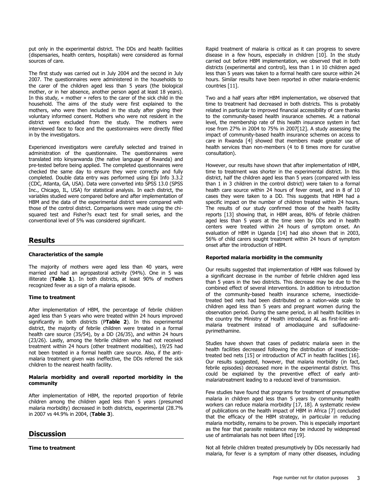put only in the experimental district. The DDs and health facilities (dispensaries, health centers, hospitals) were considered as formal sources of care.

The first study was carried out in July 2004 and the second in July 2007. The questionnaires were administered in the households to the carer of the children aged less than 5 years (the biological mother, or in her absence, another person aged at least 18 years). In this study, « mother » refers to the carer of the sick child in the household. The aims of the study were first explained to the mothers, who were then included in the study after giving their voluntary informed consent. Mothers who were not resident in the district were excluded from the study. The mothers were interviewed face to face and the questionnaires were directly filled in by the investigators.

Experienced investigators were carefully selected and trained in administration of the questionnaire. The questionnaires were translated into kinyarwanda (the native language of Rwanda) and pre-tested before being applied. The completed questionnaires were checked the same day to ensure they were correctly and fully completed. Double data entry was performed using Epi Info 3.3.2 (CDC, Atlanta, GA, USA). Data were converted into SPSS 13.0 (SPSS Inc., Chicago, IL, USA) for statistical analysis. In each district, the variables studied were compared before and after implementation of HBM and the data of the experimental district were compared with those of the control district. Comparisons were made using the chisquared test and Fisher?s exact test for small series, and the conventional level of 5% was considered significant.

# **Results**

#### **Characteristics of the sample**

The majority of mothers were aged less than 40 years, were married and had an agropastoral activity (94%). One in 5 was illiterate (**[Table 1](javascript:void(0))**). In both districts, at least 90% of mothers recognized fever as a sign of a malaria episode.

### **Time to treatment**

After implementation of HBM, the percentage of febrile children aged less than 5 years who were treated within 24 hours improved significantly in both districts (P**[Table 2](javascript:void(0))**). In this experimental district, the majority of febrile children were treated in a formal health care source (35/54), by a DD (26/35), and within 24 hours (23/26). Lastly, among the febrile children who had not received treatment within 24 hours (other treatment modalities), 19/25 had not been treated in a formal health care source. Also, if the antimalaria treatment given was ineffective, the DDs referred the sick children to the nearest health facility.

#### **Malaria morbidity and overall reported morbidity in the community**

After implementation of HBM, the reported proportion of febrile children among the children aged less than 5 years (presumed malaria morbidity) decreased in both districts, experimental (28.7% in 2007 vs 44.9% in 2004, (**[Table 3](javascript:void(0))**).

## **Discussion**

**Time to treatment**

Rapid treatment of malaria is critical as it can progress to severe disease in a few hours, especially in children [\[10\]](#page-4-9). In the study carried out before HBM implementation, we observed that in both districts (experimental and control), less than 1 in 10 children aged less than 5 years was taken to a formal health care source within 24 hours. Similar results have been reported in other malaria-endemic countries [\[11\]](#page-4-10).

Two and a half years after HBM implementation, we observed that time to treatment had decreased in both districts. This is probably related in particular to improved financial accessibility of care thanks to the community-based health insurance schemes. At a national level, the membership rate of this health insurance system in fact rose from 27% in 2004 to 75% in 2007[\[12\]](#page-4-11). A study assessing the impact of community-based health insurance schemes on access to care in Rwanda [\[4\]](#page-4-3) showed that members made greater use of health services than non-members (4 to 8 times more for curative consultation).

However, our results have shown that after implementation of HBM, time to treatment was shorter in the experimental district. In this district, half the children aged less than 5 years (compared with less than 1 in 3 children in the control district) were taken to a formal health care source within 24 hours of fever onset, and in 8 of 10 cases they were taken to a DD. This suggests that HBM had a specific impact on the number of children treated within 24 hours. The results of our study confirmed those of the health facility reports [\[13\]](#page-4-12) showing that, in HBM areas, 80% of febrile children aged less than 5 years at the time seen by DDs and in health centers were treated within 24 hours of symptom onset. An evaluation of HBM in Uganda [\[14\]](#page-5-0) had also shown that in 2003, 56% of child carers sought treatment within 24 hours of symptom onset after the introduction of HBM.

#### **Reported malaria morbidity in the community**

Our results suggested that implementation of HBM was followed by a significant decrease in the number of febrile children aged less than 5 years in the two districts. This decrease may be due to the combined effect of several interventions. In addition to introduction of the community-based health insurance scheme, insecticidetreated bed nets had been distributed on a nation-wide scale to children aged less than 5 years and pregnant women during the observation period. During the same period, in all health facilities in the country the Ministry of Health introduced AL as first-line antimalaria treatment instead of amodiaquine and sulfadoxinepyrimethamine.

Studies have shown that cases of pediatric malaria seen in the health facilities decreased following the distribution of insecticidetreated bed nets [\[15\]](#page-5-1) or introduction of ACT in health facilities [\[16\]](#page-5-2). Our results suggested, however, that malaria morbidity (in fact, febrile episodes) decreased more in the experimental district. This could be explained by the preventive effect of early antimalariatreatment leading to a reduced level of transmission.

Few studies have found that programs for treatment of presumptive malaria in children aged less than 5 years by community health workers can reduce malaria morbidity [\[17,](#page-5-3) 18]. A systematic review of publications on the health impact of HBM in Africa [\[7\]](#page-4-6) concluded that the efficacy of the HBM strategy, in particular in reducing malaria morbidity, remains to be proven. This is especially important as the fear that parasite resistance may be induced by widespread use of antimalarials has not been lifted [\[19\]](#page-5-4).

Not all febrile children treated presumptively by DDs necessarily had malaria, for fever is a symptom of many other diseases, including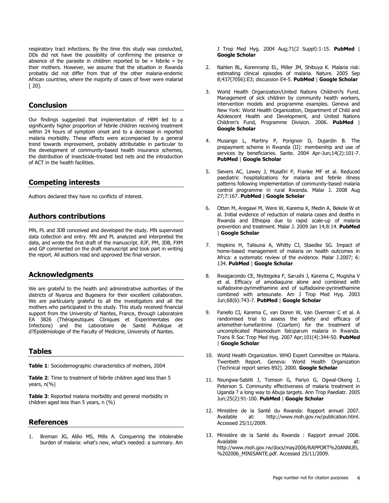respiratory tract infections. By the time this study was conducted, DDs did not have the possibility of confirming the presence or absence of the parasite in children reported to be « febrile » by their mothers. However, we assume that the situation in Rwanda probably did not differ from that of the other malaria-endemic African countries, where the majority of cases of fever were malarial [ 20].

# **Conclusion**

Our findings suggested that implementation of HBM led to a significantly higher proportion of febrile children receiving treatment within 24 hours of symptom onset and to a decrease in reported malaria morbidity. These effects were accompanied by a general trend towards improvement, probably attributable in particular to the development of community-based health insurance schemes, the distribution of insecticide-treated bed nets and the introduction of ACT in the health facilities.

## **Competing interests**

Authors declared they have no conflicts of interest.

## **Authors contributions**

MN, PL and JDB conceived and developed the study. MN supervised data collection and entry. MN and PL analyzed and interpreted the data, and wrote the first draft of the manuscript. RJF, PM, JDB, FXM and GP commented on the draft manuscript and took part in writing the report. All authors read and approved the final version.

# **Acknowledgments**

We are grateful to the health and administrative authorities of the districts of Nyanza and Bugesera for their excellent collaboration. We are particularly grateful to all the investigators and all the mothers who participated in this study. This study received financial support from the University of Nantes, France, through Laboratoire EA 3826 (Thérapeutiques Cliniques et Experimentales des Infections) and the Laboratoire de Santé Publique et d?Epidémiologie of the Faculty of Medicine, University of Nantes.

### **Tables**

**[Table 1](javascript:void(0))**: Sociodemographic characteristics of mothers, 2004

**[Table 2](javascript:void(0))**: Time to treatment of febrile children aged less than 5 years, n(%)

**[Table 3](javascript:void(0))**: Reported malaria morbidity and general morbidity in children aged less than 5 years, n (%)

## **References**

<span id="page-4-0"></span>1. Breman JG, Alilio MS, Mills A. Conquering the intolerable burden of malaria: what's new, what's needed: a summary. Am J Trop Med Hyg. 2004 Aug;71(2 Suppl):1-15. **[PubMed](http://www.ncbi.nlm.nih.gov/entrez/query.fcgi?db=PubMed&cmd=Search&doptcmdl=Citation&defaultField=Title+Word&term=Breman%20JG%5bauthor%5d+AND+Conquering+the+intolerable+burden+of+malaria:+whats+new+whats+needed:+a+summary)** | **[Google Scholar](http://scholar.google.com/scholar?hl=en&q=+Conquering+the+intolerable+burden+of+malaria:+whats+new+whats+needed:+a+summary)**

- <span id="page-4-1"></span>2. Nahlen BL, Korenromp EL, Miller JM, Shibuya K. Malaria risk: estimating clinical episodes of malaria. Nature. 2005 Sep 8;437(7056):E3; discussion E4-5. **[PubMed](http://www.ncbi.nlm.nih.gov/entrez/query.fcgi?db=PubMed&cmd=Search&doptcmdl=Citation&defaultField=Title+Word&term=Nahlen%20BL%5bauthor%5d+AND+Malaria+risk:+estimating+clinical+episodes+of+malaria)** | **[Google Scholar](http://scholar.google.com/scholar?hl=en&q=+Malaria+risk:+estimating+clinical+episodes+of+malaria)**
- <span id="page-4-2"></span>3. World Health Organization/United Nations Children?s Fund. Management of sick children by community health workers, intervention models and programme examples. Geneva and New York: World Health Organization, Department of Child and Adolescent Health and Development, and United Nations Children's Fund, Programme Division. 2006. **[PubMed](http://www.ncbi.nlm.nih.gov/entrez/query.fcgi?db=PubMed&cmd=Search&doptcmdl=Citation&defaultField=Title+Word&term=World%20Health%20Organization/United%20Nations%20Children?s%20Fund%5bauthor%5d+AND+Management+of+sick+children+by+community+health+workers+intervention+models+and+programme+examples)** | **[Google Scholar](http://scholar.google.com/scholar?hl=en&q=+Management+of+sick+children+by+community+health+workers+intervention+models+and+programme+examples)**
- <span id="page-4-3"></span>4. Musango L, Martiny P, Porignon D, Dujardin B. The prepayment scheme in Rwanda (II): membership and use of services by beneficiaries. Sante. 2004 Apr-Jun;14(2):101-7. **[PubMed](http://www.ncbi.nlm.nih.gov/entrez/query.fcgi?db=PubMed&cmd=Search&doptcmdl=Citation&defaultField=Title+Word&term=Musango%20L%5bauthor%5d+AND+The+prepayment+scheme+in+Rwanda+(II):+membership+and+use+of+services+by+beneficiaries)** | **[Google Scholar](http://scholar.google.com/scholar?hl=en&q=+The+prepayment+scheme+in+Rwanda+(II):+membership+and+use+of+services+by+beneficiaries)**
- <span id="page-4-4"></span>5. Sievers AC, Lewey J, Musafiri P, Franke MF et al. Reduced paediatric hospitalizations for malaria and febrile illness patterns following implementation of community-based malaria control programme in rural Rwanda. Malar J. 2008 Aug 27;7:167. **[PubMed](http://www.ncbi.nlm.nih.gov/entrez/query.fcgi?db=PubMed&cmd=Search&doptcmdl=Citation&defaultField=Title+Word&term=Sievers%20AC%5bauthor%5d+AND+Reduced+paediatric+hospitalizations+for+malaria+and+febrile+illness+patterns+following+implementation+of+community-based+malaria+control+programme+in+rural+Rwanda)** | **[Google Scholar](http://scholar.google.com/scholar?hl=en&q=+Reduced+paediatric+hospitalizations+for+malaria+and+febrile+illness+patterns+following+implementation+of+community-based+malaria+control+programme+in+rural+Rwanda)**
- <span id="page-4-5"></span>6. Otten M, Aregawi M, Were W, Karema K, Medin A, Bekele W et al. Initial evidence of reduction of malaria cases and deaths in Rwanda and Ethiopia due to rapid scale-up of malaria prevention and treatment. Malar J. 2009 Jan 14;8:14. **[PubMed](http://www.ncbi.nlm.nih.gov/entrez/query.fcgi?db=PubMed&cmd=Search&doptcmdl=Citation&defaultField=Title+Word&term=Otten%20M%5bauthor%5d+AND+Initial+evidence+of+reduction+of+malaria+cases+and+deaths+in+Rwanda+and+Ethiopia+due+to+rapid+scale-up+of+malaria+prevention+and+treatment)** | **[Google Scholar](http://scholar.google.com/scholar?hl=en&q=+Initial+evidence+of+reduction+of+malaria+cases+and+deaths+in+Rwanda+and+Ethiopia+due+to+rapid+scale-up+of+malaria+prevention+and+treatment)**
- <span id="page-4-6"></span>7. Hopkins H, Talisuna A, Whitty CJ, Staedke SG. Impact of home-based management of malaria on health outcomes in Africa: a systematic review of the evidence. Malar J.2007; 6: 134. **[PubMed](http://www.ncbi.nlm.nih.gov/entrez/query.fcgi?db=PubMed&cmd=Search&doptcmdl=Citation&defaultField=Title+Word&term=Hopkins%20H%5bauthor%5d+AND+Impact+of+home-based+management+of+malaria+on+health+outcomes+in+Africa:+a+systematic+review+of+the+evidence)** | **[Google Scholar](http://scholar.google.com/scholar?hl=en&q=+Impact+of+home-based+management+of+malaria+on+health+outcomes+in+Africa:+a+systematic+review+of+the+evidence)**
- <span id="page-4-7"></span>8. Rwagacondo CE, Niyitegeka F, Sarushi J, Karema C, Mugisha V et al. Efficacy of amodiaquine alone and combined with sulfadoxine-pyrimethamine and of sulfadoxine-pyrimethamine combined with artesunate. Am J Trop Med Hyg. 2003 Jun;68(6):743-7. **[PubMed](http://www.ncbi.nlm.nih.gov/entrez/query.fcgi?db=PubMed&cmd=Search&doptcmdl=Citation&defaultField=Title+Word&term=Rwagacondo%20CE%5bauthor%5d+AND+Efficacy+of+amodiaquine+alone+and+combined+with+sulfadoxine-pyrimethamine+and+of+sulfadoxine-pyrimethamine+combined+with+artesunate)** | **[Google Scholar](http://scholar.google.com/scholar?hl=en&q=+Efficacy+of+amodiaquine+alone+and+combined+with+sulfadoxine-pyrimethamine+and+of+sulfadoxine-pyrimethamine+combined+with+artesunate)**
- <span id="page-4-8"></span>9. Fanello CI, Karema C, van Doren W, Van Overmeir C et al. A randomised trial to assess the safety and efficacy of artemether-lumefantrine (Coartem) for the treatment of uncomplicated Plasmodium falciparum malaria in Rwanda. Trans R Soc Trop Med Hyg. 2007 Apr;101(4):344-50. **[PubMed](http://www.ncbi.nlm.nih.gov/entrez/query.fcgi?db=PubMed&cmd=Search&doptcmdl=Citation&defaultField=Title+Word&term=Fanello%20CI%5bauthor%5d+AND+A+randomised+trial+to+assess+the+safety+and+efficacy+of+artemether-lumefantrine+(Coartem)+for+the+treatment+of+uncomplicated+Plasmodium+falciparum+malaria+in+Rwanda)** | **[Google Scholar](http://scholar.google.com/scholar?hl=en&q=+A+randomised+trial+to+assess+the+safety+and+efficacy+of+artemether-lumefantrine+(Coartem)+for+the+treatment+of+uncomplicated+Plasmodium+falciparum+malaria+in+Rwanda)**
- <span id="page-4-9"></span>10. World Health Organization. WHO Expert Committee on Malaria. Twentieth Report. Geneva: World Health Organization (Technical report series 892). 2000. **[Google Scholar](http://scholar.google.com/scholar?hl=en&q=+WHO+Expert+Committee+on+Malaria)**
- <span id="page-4-10"></span>11. Nsungwa-Sabiiti J, Tomson G, Pariyo G, Ogwal-Okeng J, Peterson S. Community effectiveness of malaria treatment in Uganda ? a long way to Abuja targets. Ann Trop Paediatr. 2005 Jun;25(2):91-100. **[PubMed](http://www.ncbi.nlm.nih.gov/entrez/query.fcgi?db=PubMed&cmd=Search&doptcmdl=Citation&defaultField=Title+Word&term=Nsungwa-Sabiiti%20J%5bauthor%5d+AND+Community+effectiveness+of+malaria+treatment+in+Uganda+?+a+long+way+to+Abuja+targets)** | **[Google Scholar](http://scholar.google.com/scholar?hl=en&q=+Community+effectiveness+of+malaria+treatment+in+Uganda+?+a+long+way+to+Abuja+targets)**
- <span id="page-4-11"></span>12. Ministère de la Santé du Rwanda: Rapport annuel 2007. Available at: http://www.moh.gov.rw/publication.html. Accessed 25/11/2009.
- <span id="page-4-12"></span>13. Ministère de la Santé du Rwanda : Rapport annuel 2006. Available at: http://www.moh.gov.rw/docs/may2006/RAPPORT%20ANNUEL %202006\_MINISANTE.pdf. Accessed 25/11/2009.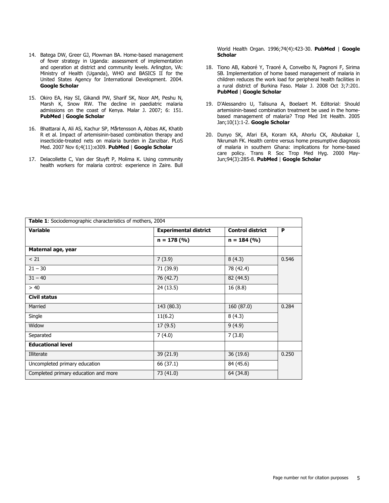- <span id="page-5-0"></span>14. Batega DW, Greer GJ, Plowman BA. Home-based management of fever strategy in Uganda: assessment of implementation and operation at district and community levels. Arlington, VA: Ministry of Health (Uganda), WHO and BASICS II for the United States Agency for International Development. 2004. **[Google Scholar](http://scholar.google.com/scholar?hl=en&q=+Home-based+management+of+fever+strategy+in+Uganda:+assessment+of+implementation+and+operation+at+district+and+community+levels)**
- <span id="page-5-1"></span>15. Okiro EA, Hay SI, Gikandi PW, Sharif SK, Noor AM, Peshu N, Marsh K, Snow RW. The decline in paediatric malaria admissions on the coast of Kenya. Malar J. 2007; 6: 151. **[PubMed](http://www.ncbi.nlm.nih.gov/entrez/query.fcgi?db=PubMed&cmd=Search&doptcmdl=Citation&defaultField=Title+Word&term=Okiro%20EA%5bauthor%5d+AND+The+decline+in+paediatric+malaria+admissions+on+the+coast+of+Kenya)** | **[Google Scholar](http://scholar.google.com/scholar?hl=en&q=+The+decline+in+paediatric+malaria+admissions+on+the+coast+of+Kenya)**
- <span id="page-5-2"></span>16. Bhattarai A, Ali AS, Kachur SP, Mårtensson A, Abbas AK, Khatib R et al. Impact of artemisinin-based combination therapy and insecticide-treated nets on malaria burden in Zanzibar. PLoS Med. 2007 Nov 6;4(11):e309. **[PubMed](http://www.ncbi.nlm.nih.gov/entrez/query.fcgi?db=PubMed&cmd=Search&doptcmdl=Citation&defaultField=Title+Word&term=Bhattarai%20A%5bauthor%5d+AND+Impact+of+artemisinin-based+combination+therapy+and+insecticide-treated+nets+on+malaria+burden+in+Zanzibar)** | **[Google Scholar](http://scholar.google.com/scholar?hl=en&q=+Impact+of+artemisinin-based+combination+therapy+and+insecticide-treated+nets+on+malaria+burden+in+Zanzibar)**
- <span id="page-5-3"></span>17. Delacollette C, Van der Stuyft P, Molima K. Using community health workers for malaria control: experience in Zaire. Bull

World Health Organ. 1996;74(4):423-30. **[PubMed](http://www.ncbi.nlm.nih.gov/entrez/query.fcgi?db=PubMed&cmd=Search&doptcmdl=Citation&defaultField=Title+Word&term=Delacollette%20C%5bauthor%5d+AND+Using+community+health+workers+for+malaria+control:+experience+in+Zaire)** | **[Google](http://scholar.google.com/scholar?hl=en&q=+Using+community+health+workers+for+malaria+control:+experience+in+Zaire)  [Scholar](http://scholar.google.com/scholar?hl=en&q=+Using+community+health+workers+for+malaria+control:+experience+in+Zaire)**

- 18. Tiono AB, Kaboré Y, Traoré A, Convelbo N, Pagnoni F, Sirima SB. Implementation of home based management of malaria in children reduces the work load for peripheral health facilities in a rural district of Burkina Faso. Malar J. 2008 Oct 3;7:201. **[PubMed](http://www.ncbi.nlm.nih.gov/entrez/query.fcgi?db=PubMed&cmd=Search&doptcmdl=Citation&defaultField=Title+Word&term=Tiono%20AB%5bauthor%5d+AND+Implementation+of+home+based+management+of+malaria+in+children+reduces+the+work+load+for+peripheral+health+facilities+in+a+rural+district+of+Burkina+Faso)** | **[Google Scholar](http://scholar.google.com/scholar?hl=en&q=+Implementation+of+home+based+management+of+malaria+in+children+reduces+the+work+load+for+peripheral+health+facilities+in+a+rural+district+of+Burkina+Faso)**
- <span id="page-5-4"></span>19. D'Alessandro U, Talisuna A, Boelaert M. Editorial: Should artemisinin-based combination treatment be used in the homebased management of malaria? Trop Med Int Health. 2005 Jan;10(1):1-2. **[Google Scholar](http://scholar.google.com/scholar?hl=en&q=+Editorial:+Should+artemisinin-based+combination+treatment+be+used+in+the+home-based+management+of+malaria?+Trop+Med+Int+Health)**
- 20. Dunyo SK, Afari EA, Koram KA, Ahorlu CK, Abubakar I, Nkrumah FK. Health centre versus home presumptive diagnosis of malaria in southern Ghana: implications for home-based care policy. Trans R Soc Trop Med Hyg. 2000 May-Jun;94(3):285-8. **[PubMed](http://www.ncbi.nlm.nih.gov/entrez/query.fcgi?db=PubMed&cmd=Search&doptcmdl=Citation&defaultField=Title+Word&term=Dunyo%20SK%5bauthor%5d+AND+Health+centre+versus+home+presumptive+diagnosis+of+malaria+in+southern+Ghana:+implications+for+home-based+care+policy)** | **[Google Scholar](http://scholar.google.com/scholar?hl=en&q=+Health+centre+versus+home+presumptive+diagnosis+of+malaria+in+southern+Ghana:+implications+for+home-based+care+policy)**

| <b>Table 1:</b> Sociodemographic characteristics of mothers, 2004 |                              |                         |       |  |  |  |  |
|-------------------------------------------------------------------|------------------------------|-------------------------|-------|--|--|--|--|
| <b>Variable</b>                                                   | <b>Experimental district</b> | <b>Control district</b> | P     |  |  |  |  |
|                                                                   | $n = 178 (%)$                | $n = 184 (%)$           |       |  |  |  |  |
| Maternal age, year                                                |                              |                         |       |  |  |  |  |
| < 21                                                              | 7(3.9)                       | 8(4.3)                  | 0.546 |  |  |  |  |
| $21 - 30$                                                         | 71 (39.9)                    | 78 (42.4)               |       |  |  |  |  |
| $31 - 40$                                                         | 76 (42.7)                    | 82 (44.5)               |       |  |  |  |  |
| > 40                                                              | 24 (13.5)                    | 16(8.8)                 |       |  |  |  |  |
| Civil status                                                      |                              |                         |       |  |  |  |  |
| Married                                                           | 143 (80.3)                   | 160 (87.0)              | 0.284 |  |  |  |  |
| Single                                                            | 11(6.2)                      | 8(4.3)                  |       |  |  |  |  |
| Widow                                                             | 17(9.5)                      | 9(4.9)                  |       |  |  |  |  |
| Separated                                                         | 7(4.0)                       | 7(3.8)                  |       |  |  |  |  |
| <b>Educational level</b>                                          |                              |                         |       |  |  |  |  |
| Illiterate                                                        | 39 (21.9)                    | 36(19.6)                | 0.250 |  |  |  |  |
| Uncompleted primary education                                     | 66 (37.1)                    | 84 (45.6)               |       |  |  |  |  |
| Completed primary education and more                              | 73 (41.0)                    | 64 (34.8)               |       |  |  |  |  |